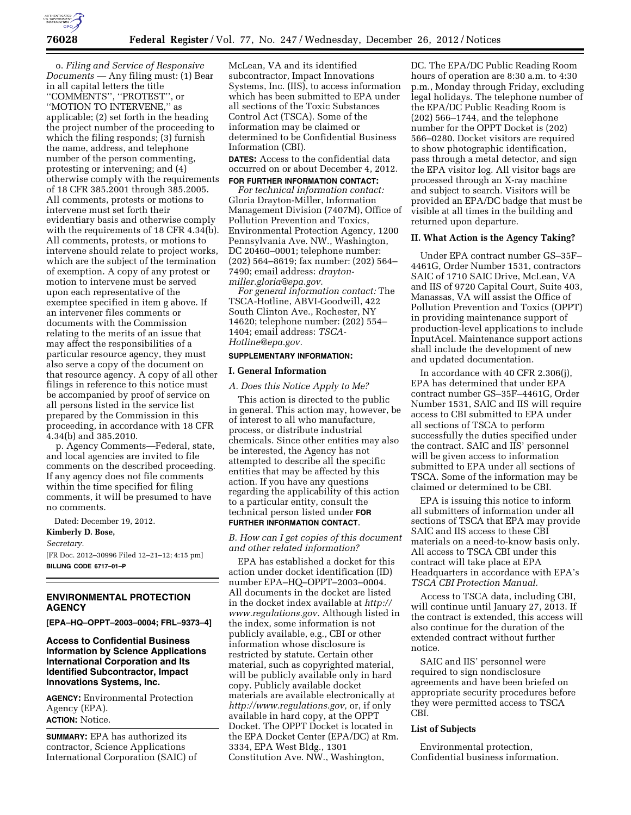

o. *Filing and Service of Responsive Documents —* Any filing must: (1) Bear in all capital letters the title ''COMMENTS'', ''PROTEST'', or ''MOTION TO INTERVENE,'' as applicable; (2) set forth in the heading the project number of the proceeding to which the filing responds; (3) furnish the name, address, and telephone number of the person commenting, protesting or intervening; and (4) otherwise comply with the requirements of 18 CFR 385.2001 through 385.2005. All comments, protests or motions to intervene must set forth their evidentiary basis and otherwise comply with the requirements of 18 CFR 4.34(b). All comments, protests, or motions to intervene should relate to project works, which are the subject of the termination of exemption. A copy of any protest or motion to intervene must be served upon each representative of the exemptee specified in item g above. If an intervener files comments or documents with the Commission relating to the merits of an issue that may affect the responsibilities of a particular resource agency, they must also serve a copy of the document on that resource agency. A copy of all other filings in reference to this notice must be accompanied by proof of service on all persons listed in the service list prepared by the Commission in this proceeding, in accordance with 18 CFR 4.34(b) and 385.2010.

p. Agency Comments—Federal, state, and local agencies are invited to file comments on the described proceeding. If any agency does not file comments within the time specified for filing comments, it will be presumed to have no comments.

Dated: December 19, 2012.

**Kimberly D. Bose,** 

*Secretary.* 

[FR Doc. 2012–30996 Filed 12–21–12; 4:15 pm] **BILLING CODE 6717–01–P** 

## **ENVIRONMENTAL PROTECTION AGENCY**

**[EPA–HQ–OPPT–2003–0004; FRL–9373–4]** 

## **Access to Confidential Business Information by Science Applications International Corporation and Its Identified Subcontractor, Impact Innovations Systems, Inc.**

**AGENCY:** Environmental Protection Agency (EPA). **ACTION:** Notice.

**SUMMARY:** EPA has authorized its contractor, Science Applications International Corporation (SAIC) of McLean, VA and its identified subcontractor, Impact Innovations Systems, Inc. (IIS), to access information which has been submitted to EPA under all sections of the Toxic Substances Control Act (TSCA). Some of the information may be claimed or determined to be Confidential Business Information (CBI).

**DATES:** Access to the confidential data occurred on or about December 4, 2012.

## **FOR FURTHER INFORMATION CONTACT:**

*For technical information contact:*  Gloria Drayton-Miller, Information Management Division (7407M), Office of Pollution Prevention and Toxics, Environmental Protection Agency, 1200 Pennsylvania Ave. NW., Washington, DC 20460–0001; telephone number: (202) 564–8619; fax number: (202) 564– 7490; email address: *[drayton](mailto:drayton-miller.gloria@epa.gov)[miller.gloria@epa.gov.](mailto:drayton-miller.gloria@epa.gov)* 

*For general information contact:* The TSCA-Hotline, ABVI-Goodwill, 422 South Clinton Ave., Rochester, NY 14620; telephone number: (202) 554– 1404; email address: *[TSCA-](mailto:TSCA-Hotline@epa.gov)[Hotline@epa.gov.](mailto:TSCA-Hotline@epa.gov)* 

#### **SUPPLEMENTARY INFORMATION:**

## **I. General Information**

## *A. Does this Notice Apply to Me?*

This action is directed to the public in general. This action may, however, be of interest to all who manufacture, process, or distribute industrial chemicals. Since other entities may also be interested, the Agency has not attempted to describe all the specific entities that may be affected by this action. If you have any questions regarding the applicability of this action to a particular entity, consult the technical person listed under **FOR FURTHER INFORMATION CONTACT**.

## *B. How can I get copies of this document and other related information?*

EPA has established a docket for this action under docket identification (ID) number EPA–HQ–OPPT–2003–0004. All documents in the docket are listed in the docket index available at *[http://](http://www.regulations.gov) [www.regulations.gov.](http://www.regulations.gov)* Although listed in the index, some information is not publicly available, e.g., CBI or other information whose disclosure is restricted by statute. Certain other material, such as copyrighted material, will be publicly available only in hard copy. Publicly available docket materials are available electronically at *[http://www.regulations.gov,](http://www.regulations.gov)* or, if only available in hard copy, at the OPPT Docket. The OPPT Docket is located in the EPA Docket Center (EPA/DC) at Rm. 3334, EPA West Bldg., 1301 Constitution Ave. NW., Washington,

DC. The EPA/DC Public Reading Room hours of operation are 8:30 a.m. to 4:30 p.m., Monday through Friday, excluding legal holidays. The telephone number of the EPA/DC Public Reading Room is (202) 566–1744, and the telephone number for the OPPT Docket is (202) 566–0280. Docket visitors are required to show photographic identification, pass through a metal detector, and sign the EPA visitor log. All visitor bags are processed through an X-ray machine and subject to search. Visitors will be provided an EPA/DC badge that must be visible at all times in the building and returned upon departure.

## **II. What Action is the Agency Taking?**

Under EPA contract number GS–35F– 4461G, Order Number 1531, contractors SAIC of 1710 SAIC Drive, McLean, VA and IIS of 9720 Capital Court, Suite 403, Manassas, VA will assist the Office of Pollution Prevention and Toxics (OPPT) in providing maintenance support of production-level applications to include InputAcel. Maintenance support actions shall include the development of new and updated documentation.

In accordance with 40 CFR 2.306(j), EPA has determined that under EPA contract number GS–35F–4461G, Order Number 1531, SAIC and IIS will require access to CBI submitted to EPA under all sections of TSCA to perform successfully the duties specified under the contract. SAIC and IIS' personnel will be given access to information submitted to EPA under all sections of TSCA. Some of the information may be claimed or determined to be CBI.

EPA is issuing this notice to inform all submitters of information under all sections of TSCA that EPA may provide SAIC and IIS access to these CBI materials on a need-to-know basis only. All access to TSCA CBI under this contract will take place at EPA Headquarters in accordance with EPA's *TSCA CBI Protection Manual.* 

Access to TSCA data, including CBI, will continue until January 27, 2013. If the contract is extended, this access will also continue for the duration of the extended contract without further notice.

SAIC and IIS' personnel were required to sign nondisclosure agreements and have been briefed on appropriate security procedures before they were permitted access to TSCA CBI.

#### **List of Subjects**

Environmental protection, Confidential business information.